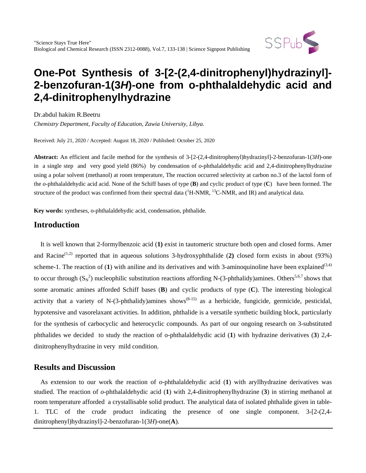

# **One-Pot Synthesis of 3-[2-(2,4-dinitrophenyl)hydrazinyl]- 2-benzofuran-1(3***H***)-one from o-phthalaldehydic acid and 2,4-dinitrophenylhydrazine**

Dr.abdul hakim R.Beetru

*Chemistry Department, Faculty of Education, Zawia University, Libya.*

Received: July 21, 2020 / Accepted: August 18, 2020 / Published: October 25, 2020

**Abstract:** An efficient and facile method for the synthesis of 3-[2-(2,4-dinitrophenyl)hydrazinyl]-2-benzofuran-1(3*H*)-one in a single step and very good yield (86%) by condensation of *o*-phthalaldehydic acid and 2,4-dinitrophenylhydrazine using a polar solvent (methanol) at room temperature, The reaction occurred selectivity at carbon no.3 of the lactol form of the *o*-phthalaldehydic acid acid. None of the Schiff bases of type (**B**) and cyclic product of type (**C**) have been formed. The structure of the product was confirmed from their spectral data  $(^1H\text{-}NMR, ^{13}C\text{-}NMR,$  and IR) and analytical data.

**Key words:** syntheses, o-phthalaldehydic acid, condensation, phthalide.

### **Introduction**

 It is well known that 2-formylbenzoic acid (**1)** exist in tautomeric structure both open and closed forms. Amer and Racine<sup>(1,2)</sup> reported that in aqueous solutions 3-hydroxyphthalide (2) closed form exists in about (93%) scheme-1. The reaction of  $(1)$  with aniline and its derivatives and with 3-aminoquinoline have been explained<sup>(3,4)</sup> to occur through  $(S_N^2)$  nucleophilic substitution reactions affording N-(3-phthalidy)amines. Others<sup>5,6,7</sup> shows that some aromatic amines afforded Schiff bases (**B**) and cyclic products of type (**C**). The interesting biological activity that a variety of N-(3-phthalidy)amines shows<sup> $(8-15)$ </sup> as a herbicide, fungicide, germicide, pesticidal, hypotensive and vasorelaxant activities. In addition, phthalide is a versatile synthetic building block, particularly for the synthesis of carbocyclic and heterocyclic compounds. As part of our ongoing research on 3-substituted phthalides we decided to study the reaction of o-phthalaldehydic acid (**1**) with hydrazine derivatives (**3**) 2,4 dinitrophenylhydrazine in very mild condition.

### **Results and Discussion**

 As extension to our work the reaction of *o*-phthalaldehydic acid (**1**) with aryllhydrazine derivatives was studied. The reaction of *o*-phthalaldehydic acid (**1**) with 2,4-dinitrophenylhydrazine (**3**) in stirring methanol at room temperature afforded a crystallisable solid product. The analytical data of isolated phthalide given in table-1. TLC of the crude product indicating the presence of one single component. 3-[2-(2,4 dinitrophenyl)hydrazinyl]-2-benzofuran-1(3*H*)-one(**A**).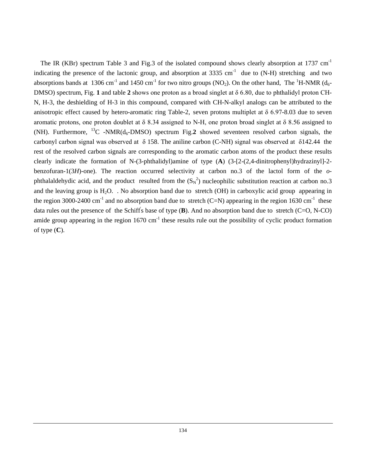The IR (KBr) spectrum Table 3 and Fig.3 of the isolated compound shows clearly absorption at 1737  $cm^{-1}$ indicating the presence of the lactonic group, and absorption at  $3335 \text{ cm}^{-1}$  due to (N-H) stretching and two absorptions bands at 1306 cm<sup>-1</sup> and 1450 cm<sup>-1</sup> for two nitro groups (NO<sub>2</sub>). On the other hand, The <sup>1</sup>H-NMR (d<sub>6</sub>-DMSO) spectrum, Fig. **1** and table **2** shows one proton as a broad singlet at δ 6.80, due to phthalidyl proton CH-N, H-3, the deshielding of H-3 in this compound, compared with CH-N-alkyl analogs can be attributed to the anisotropic effect caused by hetero-aromatic ring Table-2, seven protons multiplet at δ 6.97-8.03 due to seven aromatic protons, one proton doublet at  $\delta$  8.34 assigned to N-H, one proton broad singlet at  $\delta$  8.56 assigned to (NH). Furthermore, <sup>13</sup>C -NMR( $d_6$ -DMSO) spectrum Fig.2 showed seventeen resolved carbon signals, the carbonyl carbon signal was observed at  $\delta$  158. The aniline carbon (C-NH) signal was observed at  $\delta$ 142.44 the rest of the resolved carbon signals are corresponding to the aromatic carbon atoms of the product these results clearly indicate the formation of N-(3-phthalidyl)amine of type (**A**) (3-[2-(2,4-dinitrophenyl)hydrazinyl]-2 benzofuran-1(3*H*)-one). The reaction occurred selectivity at carbon no.3 of the lactol form of the *o*phthalaldehydic acid, and the product resulted from the  $(S_N^2)$  nucleophilic substitution reaction at carbon no.3 and the leaving group is  $H_2O$ . No absorption band due to stretch (OH) in carboxylic acid group appearing in the region 3000-2400 cm<sup>-1</sup> and no absorption band due to stretch (C=N) appearing in the region 1630 cm<sup>-1</sup> these data rules out the presence of the Schiff' s base of type (**B**). And no absorption band due to stretch (C=O, N-CO) amide group appearing in the region  $1670 \text{ cm}^{-1}$  these results rule out the possibility of cyclic product formation of type (**C**).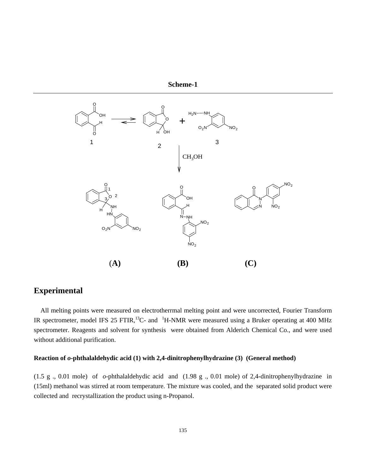



## **Experimental**

 All melting points were measured on electrotherrmal melting point and were uncorrected, Fourier Transform IR spectrometer, model IFS 25 FTIR,<sup>13</sup>C- and <sup>1</sup>H-NMR were measured using a Bruker operating at 400 MHz spectrometer. Reagents and solvent for synthesis were obtained from Alderich Chemical Co., and were used without additional purification.

#### **Reaction of** *o***-phthalaldehydic acid (1) with 2,4-dinitrophenylhydrazine (3) (General method)**

(1.5 g ., 0.01 mole) of *o*-phthalaldehydic acid and (1.98 g ., 0.01 mole) of 2,4-dinitrophenylhydrazine in (15ml) methanol was stirred at room temperature. The mixture was cooled, and the separated solid product were collected and recrystallization the product using n-Propanol.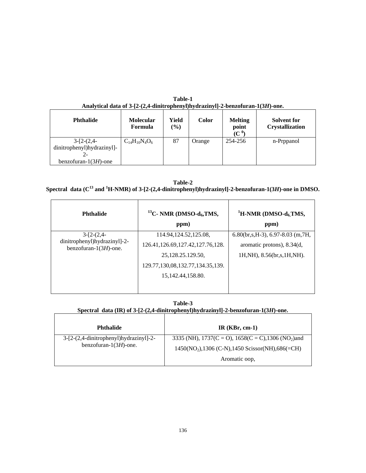| <b>Phthalide</b>           | <b>Molecular</b><br>Formula | Yield<br>$(\%)$ | <b>Color</b> | <b>Melting</b><br>point<br>(C $^0$ | <b>Solvent for</b><br><b>Crystallization</b> |
|----------------------------|-----------------------------|-----------------|--------------|------------------------------------|----------------------------------------------|
| $3-[2-(2,4-$               | $C_{14}H_{10}N_4O_6$        | 87              | Orange       | 254-256                            | n-Prppanol                                   |
| dinitrophenyl)hydrazinyl]- |                             |                 |              |                                    |                                              |
|                            |                             |                 |              |                                    |                                              |
| benzofuran- $1(3H)$ -one   |                             |                 |              |                                    |                                              |

**Table-1 Analytical data of 3-[2-(2,4-dinitrophenyl)hydrazinyl]-2-benzofuran-1(3***H***)-one.**

| Table-2                                                                                                                    |
|----------------------------------------------------------------------------------------------------------------------------|
| Spectral data ( $C^{13}$ and ${}^{1}H\text{-NMR}$ ) of 3-[2-(2,4-dinitrophenyl)hydrazinyl]-2-benzofuran-1(3H)-one in DMSO. |

| <b>Phthalide</b>                                                          | <sup>13</sup> C- NMR (DMSO- $d_6$ , TMS,<br>ppm) | <sup>1</sup> H-NMR (DMSO- $d_6$ TMS,<br>ppm) |
|---------------------------------------------------------------------------|--------------------------------------------------|----------------------------------------------|
| $3-[2-(2,4-$<br>dinitrophenyl)hydrazinyl]-2-<br>benzofuran- $1(3H)$ -one. | 114.94, 124. 52, 125. 08,                        | $6.80$ (br,s, H-3), 6.97-8.03 (m, 7H,        |
|                                                                           | 126.41, 126.69, 127.42, 127.76, 128.             | aromatic protons), 8.34(d,                   |
|                                                                           | 25, 128, 25, 129, 50,                            | 1H, NH), 8.56(br, s, 1H, NH).                |
|                                                                           | 129.77, 130, 08, 132.77, 134.35, 139.            |                                              |
|                                                                           | 15, 142, 44, 158, 80.                            |                                              |
|                                                                           |                                                  |                                              |

**Table-3 Spectral data (IR) of 3-[2-(2,4-dinitrophenyl)hydrazinyl]-2-benzofuran-1(3***H***)-one.**

| <b>Phthalide</b>                                                          | $IR(KBr, cm-1)$                                                                                                    |  |
|---------------------------------------------------------------------------|--------------------------------------------------------------------------------------------------------------------|--|
| $3-[2-(2,4-dinitrophenyl)$ hydrazinyl $]-2-$<br>benzofuran- $1(3H)$ -one. | 3335 (NH), $1737(C = O)$ , $1658(C = C)$ , $1306 (NO2)$ and<br>$1450(NO2), 1306 (C-N), 1450 Scissor(NH), 686(=CH)$ |  |
|                                                                           | Aromatic oop,                                                                                                      |  |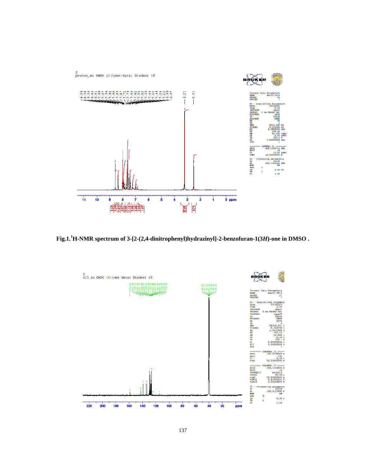

**Fig.1.<sup>1</sup> H-NMR spectrum of 3-[2-(2,4-dinitrophenyl)hydrazinyl]-2-benzofuran-1(3***H***)-one in DMSO .**